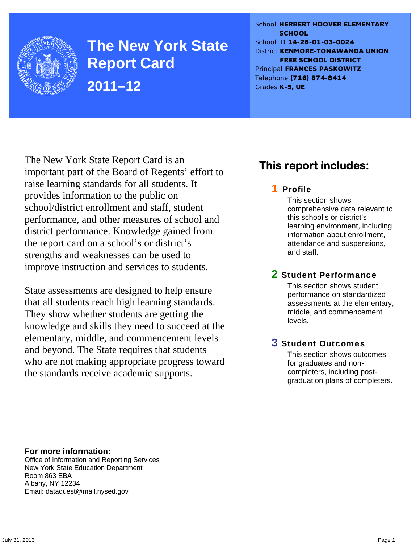

**The New York State Report Card 2011–12** 

School **HERBERT HOOVER ELEMENTARY SCHOOL** School ID **14-26-01-03-0024** District **KENMORE-TONAWANDA UNION FREE SCHOOL DISTRICT** Principal **FRANCES PASKOWITZ** Telephone **(716) 874-8414** Grades **K-5, UE**

The New York State Report Card is an important part of the Board of Regents' effort to raise learning standards for all students. It provides information to the public on school/district enrollment and staff, student performance, and other measures of school and district performance. Knowledge gained from the report card on a school's or district's strengths and weaknesses can be used to improve instruction and services to students.

State assessments are designed to help ensure that all students reach high learning standards. They show whether students are getting the knowledge and skills they need to succeed at the elementary, middle, and commencement levels and beyond. The State requires that students who are not making appropriate progress toward the standards receive academic supports.

### **This report includes:**

#### 1 Profile

This section shows comprehensive data relevant to this school's or district's learning environment, including information about enrollment, attendance and suspensions, and staff.

#### 2 Student Performance

This section shows student performance on standardized assessments at the elementary, middle, and commencement levels.

#### 3 Student Outcomes

This section shows outcomes for graduates and noncompleters, including postgraduation plans of completers.

**For more information:**  Office of Information and Reporting Services New York State Education Department Room 863 EBA Albany, NY 12234

Email: dataquest@mail.nysed.gov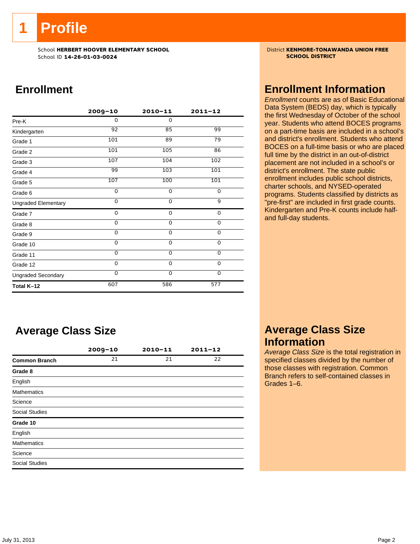**1 Profile** 

School **HERBERT HOOVER ELEMENTARY SCHOOL**<br>School ID 14-26-01-03-0024 **District KENMORE-TONAWANDA UNION FREE** School ID **14-26-01-03-0024** 

### **Enrollment**

|                            | $2009 - 10$ | $2010 - 11$ | $2011 - 12$ |
|----------------------------|-------------|-------------|-------------|
| Pre-K                      | $\Omega$    | $\Omega$    |             |
| Kindergarten               | 92          | 85          | 99          |
| Grade 1                    | 101         | 89          | 79          |
| Grade 2                    | 101         | 105         | 86          |
| Grade 3                    | 107         | 104         | 102         |
| Grade 4                    | 99          | 103         | 101         |
| Grade 5                    | 107         | 100         | 101         |
| Grade 6                    | 0           | 0           | 0           |
| <b>Ungraded Elementary</b> | $\Omega$    | $\Omega$    | 9           |
| Grade 7                    | 0           | $\mathbf 0$ | 0           |
| Grade 8                    | 0           | $\mathbf 0$ | 0           |
| Grade 9                    | 0           | 0           | 0           |
| Grade 10                   | 0           | 0           | 0           |
| Grade 11                   | $\Omega$    | $\mathbf 0$ | $\mathbf 0$ |
| Grade 12                   | $\Omega$    | $\Omega$    | $\Omega$    |
| <b>Ungraded Secondary</b>  | $\Omega$    | $\Omega$    | $\Omega$    |
| Total K-12                 | 607         | 586         | 577         |

### **Average Class Size**

|                       | $2009 - 10$ | $2010 - 11$ | $2011 - 12$ |
|-----------------------|-------------|-------------|-------------|
| <b>Common Branch</b>  | 21          | 21          | 22          |
| Grade 8               |             |             |             |
| English               |             |             |             |
| <b>Mathematics</b>    |             |             |             |
| Science               |             |             |             |
| <b>Social Studies</b> |             |             |             |
| Grade 10              |             |             |             |
| English               |             |             |             |
| <b>Mathematics</b>    |             |             |             |
| Science               |             |             |             |
| <b>Social Studies</b> |             |             |             |
|                       |             |             |             |

#### **Enrollment Information**

*Enrollment* counts are as of Basic Educational Data System (BEDS) day, which is typically the first Wednesday of October of the school year. Students who attend BOCES programs on a part-time basis are included in a school's and district's enrollment. Students who attend BOCES on a full-time basis or who are placed full time by the district in an out-of-district placement are not included in a school's or district's enrollment. The state public enrollment includes public school districts, charter schools, and NYSED-operated programs. Students classified by districts as "pre-first" are included in first grade counts. Kindergarten and Pre-K counts include halfand full-day students.

#### **Average Class Size Information**

*Average Class Size* is the total registration in specified classes divided by the number of those classes with registration. Common Branch refers to self-contained classes in Grades 1–6.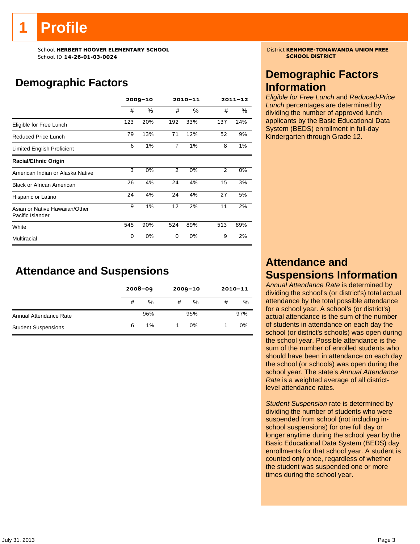# **1 Profile**

School **HERBERT HOOVER ELEMENTARY SCHOOL**<br>School ID 14-26-01-03-0024 **District KENMORE-TONAWANDA UNION FREE** School ID **14-26-01-03-0024** 

### **Demographic Factors**

|                                                    | $2009 - 10$ |      |                | 2010-11 | $2011 - 12$ |     |  |
|----------------------------------------------------|-------------|------|----------------|---------|-------------|-----|--|
|                                                    | #           | $\%$ | #              | %       | #           | %   |  |
| Eligible for Free Lunch                            | 123         | 20%  | 192            | 33%     | 137         | 24% |  |
| Reduced Price Lunch                                | 79          | 13%  | 71             | 12%     | 52          | 9%  |  |
| Limited English Proficient                         | 6           | 1%   | $\overline{7}$ | 1%      | 8           | 1%  |  |
| <b>Racial/Ethnic Origin</b>                        |             |      |                |         |             |     |  |
| American Indian or Alaska Native                   | 3           | 0%   | $\overline{2}$ | 0%      | 2           | 0%  |  |
| <b>Black or African American</b>                   | 26          | 4%   | 24             | 4%      | 15          | 3%  |  |
| Hispanic or Latino                                 | 24          | 4%   | 24             | 4%      | 27          | 5%  |  |
| Asian or Native Hawaiian/Other<br>Pacific Islander | 9           | 1%   | 12             | 2%      | 11          | 2%  |  |
| White                                              | 545         | 90%  | 524            | 89%     | 513         | 89% |  |
| Multiracial                                        | $\Omega$    | 0%   | $\Omega$       | 0%      | 9           | 2%  |  |

#### **Attendance and Suspensions**

|                            |   | $2008 - 09$ |   | $2009 - 10$ |   | $2010 - 11$ |
|----------------------------|---|-------------|---|-------------|---|-------------|
|                            | # | %           | # | %           | # | %           |
| Annual Attendance Rate     |   | 96%         |   | 95%         |   | 97%         |
| <b>Student Suspensions</b> | 6 | 1%          |   | 0%          |   | 0%          |

#### **Demographic Factors Information**

*Eligible for Free Lunch* and *Reduced-Price Lunch* percentages are determined by dividing the number of approved lunch applicants by the Basic Educational Data System (BEDS) enrollment in full-day Kindergarten through Grade 12.

#### **Attendance and Suspensions Information**

*Annual Attendance Rate* is determined by dividing the school's (or district's) total actual attendance by the total possible attendance for a school year. A school's (or district's) actual attendance is the sum of the number of students in attendance on each day the school (or district's schools) was open during the school year. Possible attendance is the sum of the number of enrolled students who should have been in attendance on each day the school (or schools) was open during the school year. The state's *Annual Attendance Rate* is a weighted average of all districtlevel attendance rates.

*Student Suspension* rate is determined by dividing the number of students who were suspended from school (not including inschool suspensions) for one full day or longer anytime during the school year by the Basic Educational Data System (BEDS) day enrollments for that school year. A student is counted only once, regardless of whether the student was suspended one or more times during the school year.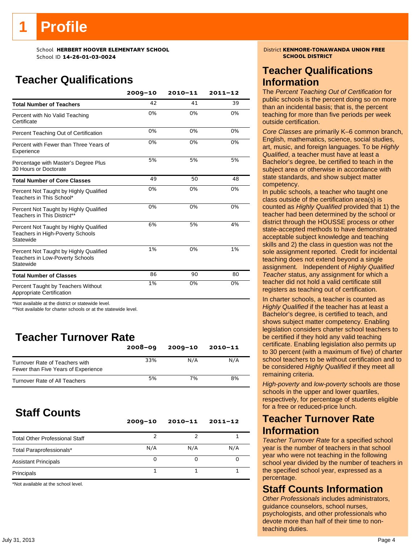# **Profile**

School **HERBERT HOOVER ELEMENTARY SCHOOL** District **KENMORE-TONAWANDA UNION FREE**<br>School ID 14-26-01-03-0024 School ID **14-26-01-03-0024** 

### **Teacher Qualifications**

|                                                                                               | $2009 - 10$ | $2010 - 11$ | $2011 - 12$ |
|-----------------------------------------------------------------------------------------------|-------------|-------------|-------------|
| <b>Total Number of Teachers</b>                                                               | 42          | 41          | 39          |
| Percent with No Valid Teaching<br>Certificate                                                 | 0%          | 0%          | 0%          |
| Percent Teaching Out of Certification                                                         | 0%          | 0%          | 0%          |
| Percent with Fewer than Three Years of<br>Experience                                          | 0%          | 0%          | 0%          |
| Percentage with Master's Degree Plus<br>30 Hours or Doctorate                                 | 5%          | 5%          | 5%          |
| <b>Total Number of Core Classes</b>                                                           | 49          | 50          | 48          |
| Percent Not Taught by Highly Qualified<br>Teachers in This School*                            | 0%          | 0%          | 0%          |
| Percent Not Taught by Highly Qualified<br>Teachers in This District**                         | 0%          | 0%          | 0%          |
| Percent Not Taught by Highly Qualified<br>Teachers in High-Poverty Schools<br>Statewide       | 6%          | 5%          | 4%          |
| Percent Not Taught by Highly Qualified<br><b>Teachers in Low-Poverty Schools</b><br>Statewide | 1%          | 0%          | 1%          |
| <b>Total Number of Classes</b>                                                                | 86          | 90          | 80          |
| Percent Taught by Teachers Without<br>Appropriate Certification                               | 1%          | 0%          | 0%          |

\*Not available at the district or statewide level.

\*\*Not available for charter schools or at the statewide level.

### **Teacher Turnover Rate**

|                                                                       | $2008 - 09$ | $2009 - 10$ | $2010 - 11$ |
|-----------------------------------------------------------------------|-------------|-------------|-------------|
| Turnover Rate of Teachers with<br>Fewer than Five Years of Experience | 33%         | N/A         | N/A         |
| Turnover Rate of All Teachers                                         | 5%          | 7%          | 8%          |

### **Staff Counts**

|                                       | $2009 - 10$ | $2010 - 11$ | $2011 - 12$ |
|---------------------------------------|-------------|-------------|-------------|
| <b>Total Other Professional Staff</b> |             |             |             |
| Total Paraprofessionals*              | N/A         | N/A         | N/A         |
| <b>Assistant Principals</b>           |             |             |             |
| Principals                            |             |             |             |

\*Not available at the school level.

#### **Teacher Qualifications Information**

The *Percent Teaching Out of Certification* for public schools is the percent doing so on more than an incidental basis; that is, the percent teaching for more than five periods per week outside certification.

*Core Classes* are primarily K–6 common branch, English, mathematics, science, social studies, art, music, and foreign languages. To be *Highly Qualified*, a teacher must have at least a Bachelor's degree, be certified to teach in the subject area or otherwise in accordance with state standards, and show subject matter competency.

In public schools, a teacher who taught one class outside of the certification area(s) is counted as *Highly Qualified* provided that 1) the teacher had been determined by the school or district through the HOUSSE process or other state-accepted methods to have demonstrated acceptable subject knowledge and teaching skills and 2) the class in question was not the sole assignment reported. Credit for incidental teaching does not extend beyond a single assignment. Independent of *Highly Qualified Teacher* status, any assignment for which a teacher did not hold a valid certificate still registers as teaching out of certification.

In charter schools, a teacher is counted as *Highly Qualified* if the teacher has at least a Bachelor's degree, is certified to teach, and shows subject matter competency. Enabling legislation considers charter school teachers to be certified if they hold any valid teaching certificate. Enabling legislation also permits up to 30 percent (with a maximum of five) of charter school teachers to be without certification and to be considered *Highly Qualified* if they meet all remaining criteria.

*High-poverty* and *low-poverty* schools are those schools in the upper and lower quartiles, respectively, for percentage of students eligible for a free or reduced-price lunch.

#### **Teacher Turnover Rate Information**

*Teacher Turnover Rate* for a specified school year is the number of teachers in that school year who were not teaching in the following school year divided by the number of teachers in the specified school year, expressed as a percentage.

#### **Staff Counts Information**

*Other Professionals* includes administrators, guidance counselors, school nurses, psychologists, and other professionals who devote more than half of their time to nonteaching duties.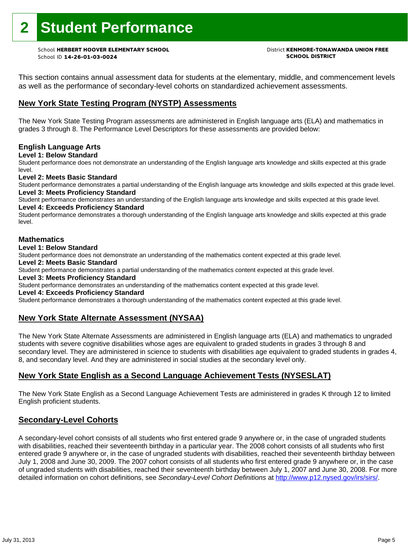# **2 Student Performance**

School **HERBERT HOOVER ELEMENTARY SCHOOL** District **KENMORE-TONAWANDA UNION FREE** School ID **14-26-01-03-0024 SCHOOL DISTRICT**

This section contains annual assessment data for students at the elementary, middle, and commencement levels as well as the performance of secondary-level cohorts on standardized achievement assessments.

#### **New York State Testing Program (NYSTP) Assessments**

The New York State Testing Program assessments are administered in English language arts (ELA) and mathematics in grades 3 through 8. The Performance Level Descriptors for these assessments are provided below:

#### **English Language Arts**

**Level 1: Below Standard** 

Student performance does not demonstrate an understanding of the English language arts knowledge and skills expected at this grade level.

#### **Level 2: Meets Basic Standard**

Student performance demonstrates a partial understanding of the English language arts knowledge and skills expected at this grade level. **Level 3: Meets Proficiency Standard** 

Student performance demonstrates an understanding of the English language arts knowledge and skills expected at this grade level.

#### **Level 4: Exceeds Proficiency Standard**

Student performance demonstrates a thorough understanding of the English language arts knowledge and skills expected at this grade level.

#### **Mathematics**

#### **Level 1: Below Standard**

Student performance does not demonstrate an understanding of the mathematics content expected at this grade level.

#### **Level 2: Meets Basic Standard**

Student performance demonstrates a partial understanding of the mathematics content expected at this grade level.

#### **Level 3: Meets Proficiency Standard**

Student performance demonstrates an understanding of the mathematics content expected at this grade level.

#### **Level 4: Exceeds Proficiency Standard**

Student performance demonstrates a thorough understanding of the mathematics content expected at this grade level.

#### **New York State Alternate Assessment (NYSAA)**

The New York State Alternate Assessments are administered in English language arts (ELA) and mathematics to ungraded students with severe cognitive disabilities whose ages are equivalent to graded students in grades 3 through 8 and secondary level. They are administered in science to students with disabilities age equivalent to graded students in grades 4, 8, and secondary level. And they are administered in social studies at the secondary level only.

#### **New York State English as a Second Language Achievement Tests (NYSESLAT)**

The New York State English as a Second Language Achievement Tests are administered in grades K through 12 to limited English proficient students.

#### **Secondary-Level Cohorts**

A secondary-level cohort consists of all students who first entered grade 9 anywhere or, in the case of ungraded students with disabilities, reached their seventeenth birthday in a particular year. The 2008 cohort consists of all students who first entered grade 9 anywhere or, in the case of ungraded students with disabilities, reached their seventeenth birthday between July 1, 2008 and June 30, 2009. The 2007 cohort consists of all students who first entered grade 9 anywhere or, in the case of ungraded students with disabilities, reached their seventeenth birthday between July 1, 2007 and June 30, 2008. For more detailed information on cohort definitions, see *Secondary-Level Cohort Definitions* at http://www.p12.nysed.gov/irs/sirs/.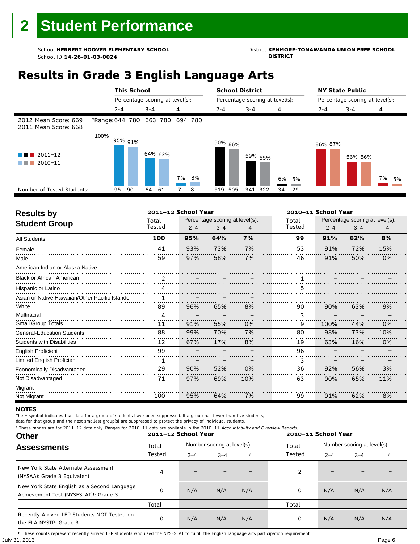### School **HERBERT HOOVER ELEMENTARY SCHOOL**<br>School ID 14-26-01-03-0024<br>DISTRICT DISTRICT

### **Results in Grade 3 English Language Arts**

|                                              |      | <b>This School</b>              |         |         |    |    |         |         | <b>School District</b>          |         |    |    | <b>NY State Public</b>          |         |         |    |    |
|----------------------------------------------|------|---------------------------------|---------|---------|----|----|---------|---------|---------------------------------|---------|----|----|---------------------------------|---------|---------|----|----|
|                                              |      | Percentage scoring at level(s): |         |         |    |    |         |         | Percentage scoring at level(s): |         |    |    | Percentage scoring at level(s): |         |         |    |    |
|                                              |      | $2 - 4$                         | $3 - 4$ |         | 4  |    | $2 - 4$ |         | $3 - 4$                         |         | 4  |    | $2 - 4$                         | $3 - 4$ |         | 4  |    |
| 2012 Mean Score: 669<br>2011 Mean Score: 668 |      | *Range: 644-780 663-780 694-780 |         |         |    |    |         |         |                                 |         |    |    |                                 |         |         |    |    |
| $2011 - 12$<br>2010-11                       | 100% | 95% 91%                         |         | 64% 62% | 7% | 8% |         | 90% 86% |                                 | 59% 55% | 6% | 5% | 86% 87%                         |         | 56% 56% | 7% | 5% |
| Number of Tested Students:                   |      | 90<br>95                        | 64      | -61     |    | 8  | 519     | 505     |                                 | 341 322 | 34 | 29 |                                 |         |         |    |    |
|                                              |      |                                 |         |         |    |    |         |         |                                 |         |    |    |                                 |         |         |    |    |

| <b>Results by</b>                               |        | 2011-12 School Year |                                 |     |        | 2010-11 School Year |                                 |     |
|-------------------------------------------------|--------|---------------------|---------------------------------|-----|--------|---------------------|---------------------------------|-----|
| <b>Student Group</b>                            | Total  |                     | Percentage scoring at level(s): |     | Total  |                     | Percentage scoring at level(s): |     |
|                                                 | Tested | $2 - 4$             | $3 - 4$                         | 4   | Tested | $2 - 4$             | $3 - 4$                         | 4   |
| <b>All Students</b>                             | 100    | 95%                 | 64%                             | 7%  | 99     | 91%                 | 62%                             | 8%  |
| Female                                          | 41     | 93%                 | 73%                             | 7%  | 53     | 91%                 | 72%                             | 15% |
| Male                                            | 59     | 97%                 | 58%                             | 7%  | 46     | 91%                 | 50%                             | 0%  |
| American Indian or Alaska Native                |        |                     |                                 |     |        |                     |                                 |     |
| <b>Black or African American</b>                | 2      |                     |                                 |     |        |                     |                                 |     |
| Hispanic or Latino                              | 4      |                     |                                 |     | 5      |                     |                                 |     |
| Asian or Native Hawaiian/Other Pacific Islander | 1      |                     |                                 |     |        |                     |                                 |     |
| White                                           | 89     | 96%                 | 65%                             | 8%  | 90     | 90%                 | 63%                             | 9%  |
| Multiracial                                     | 4      |                     |                                 |     | ٦      |                     |                                 |     |
| Small Group Totals                              | 11     | 91%                 | 55%                             | 0%  | 9      | 100%                | 44%                             | 0%  |
| <b>General-Education Students</b>               | 88     | 99%                 | 70%                             | 7%  | 80     | 98%                 | 73%                             | 10% |
| <b>Students with Disabilities</b>               | 12     | 67%                 | 17%                             | 8%  | 19     | 63%                 | 16%                             | 0%  |
| <b>English Proficient</b>                       | 99     |                     |                                 |     | 96     |                     |                                 |     |
| Limited English Proficient                      | 1      |                     |                                 |     | 3      |                     |                                 |     |
| Economically Disadvantaged                      | 29     | 90%                 | 52%                             | 0%  | 36     | 92%                 | 56%                             | 3%  |
| Not Disadvantaged                               | 71     | 97%                 | 69%                             | 10% | 63     | 90%                 | 65%                             | 11% |
| Migrant                                         |        |                     |                                 |     |        |                     |                                 |     |
| Not Migrant                                     | 100    | 95%                 | 64%                             | 7%  | 99     | 91%                 | 62%                             | 8%  |

#### **NOTES**

The – symbol indicates that data for a group of students have been suppressed. If a group has fewer than five students,

data for that group and the next smallest group(s) are suppressed to protect the privacy of individual students. \* These ranges are for 2011–12 data only. Ranges for 2010–11 data are available in the 2010–11 Accountability and Overview Reports.

| THESE TRINGES ALE TOT ZUIT-IZ GATA UNIV. RANGES TOT ZUIU-II GATA ALE AVAILADLE IN THE ZUIU-II ACCOMMADMY AND OVERVIEW REPORTS.<br><b>Other</b> |        | 2011-12 School Year |                             |     | 2010-11 School Year |                             |         |     |  |
|------------------------------------------------------------------------------------------------------------------------------------------------|--------|---------------------|-----------------------------|-----|---------------------|-----------------------------|---------|-----|--|
| <b>Assessments</b>                                                                                                                             | Total  |                     | Number scoring at level(s): |     | Total               | Number scoring at level(s): |         |     |  |
|                                                                                                                                                | Tested | $2 - 4$             | $3 - 4$                     | 4   | Tested              | $2 - 4$                     | $3 - 4$ | 4   |  |
| New York State Alternate Assessment<br>(NYSAA): Grade 3 Equivalent                                                                             | 4      |                     |                             |     |                     |                             |         |     |  |
| New York State English as a Second Language<br>Achievement Test (NYSESLAT) <sup>+</sup> : Grade 3                                              |        | N/A                 | N/A                         | N/A | 0                   | N/A                         | N/A     | N/A |  |
|                                                                                                                                                | Total  |                     |                             |     | Total               |                             |         |     |  |
| Recently Arrived LEP Students NOT Tested on<br>the ELA NYSTP: Grade 3                                                                          |        | N/A                 | N/A                         | N/A | 0                   | N/A                         | N/A     | N/A |  |

July 31, 2013 Page 6 † These counts represent recently arrived LEP students who used the NYSESLAT to fulfill the English language arts participation requirement.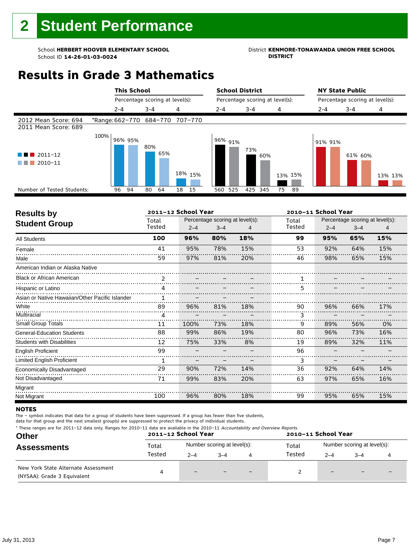### School **HERBERT HOOVER ELEMENTARY SCHOOL**<br>School ID 14-26-01-03-0024<br>DISTRICT DISTRICT

### **Results in Grade 3 Mathematics**



| <b>Results by</b>                               |        | 2011-12 School Year |                                 |     |        | 2010-11 School Year |                                 |     |  |  |
|-------------------------------------------------|--------|---------------------|---------------------------------|-----|--------|---------------------|---------------------------------|-----|--|--|
| <b>Student Group</b>                            | Total  |                     | Percentage scoring at level(s): |     | Total  |                     | Percentage scoring at level(s): |     |  |  |
|                                                 | Tested | $2 - 4$             | $3 - 4$                         | 4   | Tested | $2 - 4$             | $3 - 4$                         | 4   |  |  |
| <b>All Students</b>                             | 100    | 96%                 | 80%                             | 18% | 99     | 95%                 | 65%                             | 15% |  |  |
| Female                                          | 41     | 95%                 | 78%                             | 15% | 53     | 92%                 | 64%                             | 15% |  |  |
| Male                                            | 59     | 97%                 | 81%                             | 20% | 46     | 98%                 | 65%                             | 15% |  |  |
| American Indian or Alaska Native                |        |                     |                                 |     |        |                     |                                 |     |  |  |
| <b>Black or African American</b>                | 2      |                     |                                 |     |        |                     |                                 |     |  |  |
| Hispanic or Latino                              | 4      |                     |                                 |     | 5      |                     |                                 |     |  |  |
| Asian or Native Hawaiian/Other Pacific Islander | 1      |                     |                                 |     |        |                     |                                 |     |  |  |
| White                                           | 89     | 96%                 | 81%                             | 18% | 90     | 96%                 | 66%                             | 17% |  |  |
| Multiracial                                     | 4      |                     |                                 |     |        |                     |                                 |     |  |  |
| <b>Small Group Totals</b>                       | 11     | 100%                | 73%                             | 18% | 9      | 89%                 | 56%                             | 0%  |  |  |
| <b>General-Education Students</b>               | 88     | 99%                 | 86%                             | 19% | 80     | 96%                 | 73%                             | 16% |  |  |
| <b>Students with Disabilities</b>               | 12     | 75%                 | 33%                             | 8%  | 19     | 89%                 | 32%                             | 11% |  |  |
| <b>English Proficient</b>                       | 99     |                     |                                 |     | 96     |                     |                                 |     |  |  |
| <b>Limited English Proficient</b>               | 1      |                     |                                 |     | 3      |                     |                                 |     |  |  |
| Economically Disadvantaged                      | 29     | 90%                 | 72%                             | 14% | 36     | 92%                 | 64%                             | 14% |  |  |
| Not Disadvantaged                               | 71     | 99%                 | 83%                             | 20% | 63     | 97%                 | 65%                             | 16% |  |  |
| Migrant                                         |        |                     |                                 |     |        |                     |                                 |     |  |  |
| Not Migrant                                     | 100    | 96%                 | 80%                             | 18% | 99     | 95%                 | 65%                             | 15% |  |  |

#### **NOTES**

The – symbol indicates that data for a group of students have been suppressed. If a group has fewer than five students,

| * These ranges are for 2011–12 data only. Ranges for 2010–11 data are available in the 2010–11 Accountability and Overview Reports.<br><b>Other</b><br><b>Assessments</b> |        | 2011-12 School Year<br>2010-11 School Year |                             |                          |        |                             |      |  |  |  |
|---------------------------------------------------------------------------------------------------------------------------------------------------------------------------|--------|--------------------------------------------|-----------------------------|--------------------------|--------|-----------------------------|------|--|--|--|
|                                                                                                                                                                           | Total  |                                            | Number scoring at level(s): |                          | Total  | Number scoring at level(s): |      |  |  |  |
|                                                                                                                                                                           | Tested | $2 - 4$                                    | $3 - 4$                     |                          | Tested | $2 - 4$                     | $-4$ |  |  |  |
| New York State Alternate Assessment<br>(NYSAA): Grade 3 Equivalent                                                                                                        | 4      |                                            |                             | $\overline{\phantom{m}}$ |        | $-$                         |      |  |  |  |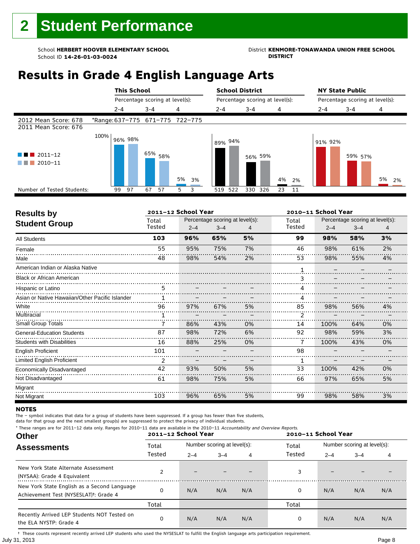### School **HERBERT HOOVER ELEMENTARY SCHOOL**<br>School ID 14-26-01-03-0024<br>DISTRICT DISTRICT

### **Results in Grade 4 English Language Arts**

|                                                  |                                 |         | <b>This School</b>              |         |             |    |    |         |         | <b>School District</b>          |         |    |    | <b>NY State Public</b>          |         |         |    |    |
|--------------------------------------------------|---------------------------------|---------|---------------------------------|---------|-------------|----|----|---------|---------|---------------------------------|---------|----|----|---------------------------------|---------|---------|----|----|
|                                                  |                                 |         | Percentage scoring at level(s): |         |             |    |    |         |         | Percentage scoring at level(s): |         |    |    | Percentage scoring at level(s): |         |         |    |    |
|                                                  |                                 | $2 - 4$ |                                 | $3 - 4$ |             | 4  |    | $2 - 4$ |         | $3 - 4$                         |         | 4  |    | $2 - 4$                         | $3 - 4$ |         | 4  |    |
| 2012 Mean Score: 678<br>2011 Mean Score: 676     | *Range: 637-775 671-775 722-775 |         |                                 |         |             |    |    |         |         |                                 |         |    |    |                                 |         |         |    |    |
| $2011 - 12$<br>a sa na<br>2010-11<br>a di Bandar | 100%                            |         | 96% 98%                         |         | $-65\%$ 58% | 5% | 3% |         | 89% 94% |                                 | 56% 59% | 4% | 2% | 91% 92%                         |         | 59% 57% | 5% | 2% |
| Number of Tested Students:                       |                                 | 99      | 97                              | 67      | 57          | 5  | 3  |         | 519 522 | 330 326                         |         | 23 | 11 |                                 |         |         |    |    |
|                                                  |                                 |         |                                 |         |             |    |    |         |         |                                 |         |    |    |                                 |         |         |    |    |

| <b>Results by</b>                               |        | 2011-12 School Year |                                 |    |           | 2010-11 School Year |                                 |    |
|-------------------------------------------------|--------|---------------------|---------------------------------|----|-----------|---------------------|---------------------------------|----|
| <b>Student Group</b>                            | Total  |                     | Percentage scoring at level(s): |    | Total     |                     | Percentage scoring at level(s): |    |
|                                                 | Tested | $2 - 4$             | $3 - 4$                         | 4  | Tested    | $2 - 4$             | $3 - 4$                         | 4  |
| <b>All Students</b>                             | 103    | 96%                 | 65%                             | 5% | 99        | 98%                 | 58%                             | 3% |
| Female                                          | 55     | 95%                 | 75%                             | 7% | 46        | 98%                 | 61%                             | 2% |
| Male                                            | 48     | 98%                 | 54%                             | 2% | 53        | 98%                 | 55%                             | 4% |
| American Indian or Alaska Native                |        |                     |                                 |    |           |                     |                                 |    |
| <b>Black or African American</b>                |        |                     |                                 |    | 3         |                     |                                 |    |
| Hispanic or Latino                              | 5      |                     |                                 |    | $\Lambda$ |                     |                                 |    |
| Asian or Native Hawaiian/Other Pacific Islander |        |                     |                                 |    |           |                     |                                 |    |
| White<br>.                                      | 96     | 97%                 | 67%                             | 5% | 85        | 98%                 | 56%                             | 4% |
| Multiracial                                     |        |                     |                                 |    | 2         |                     |                                 |    |
| Small Group Totals                              |        | 86%                 | 43%                             | 0% | 14        | 100%                | 64%                             | 0% |
| <b>General-Education Students</b>               | 87     | 98%                 | 72%                             | 6% | 92        | 98%                 | 59%                             | 3% |
| <b>Students with Disabilities</b>               | 16     | 88%                 | 25%                             | 0% | 7         | 100%                | 43%                             | 0% |
| <b>English Proficient</b>                       | 101    |                     |                                 |    | 98        |                     |                                 |    |
| <b>Limited English Proficient</b>               | 2      |                     |                                 |    | 1         |                     |                                 |    |
| Economically Disadvantaged                      | 42     | 93%                 | 50%                             | 5% | 33        | 100%                | 42%                             | 0% |
| Not Disadvantaged                               | 61     | 98%                 | 75%                             | 5% | 66        | 97%                 | 65%                             | 5% |
| Migrant                                         |        |                     |                                 |    |           |                     |                                 |    |
| Not Migrant                                     | 103    | 96%                 | 65%                             | 5% | 99        | 98%                 | 58%                             | 3% |

#### **NOTES**

r

The – symbol indicates that data for a group of students have been suppressed. If a group has fewer than five students,

data for that group and the next smallest group(s) are suppressed to protect the privacy of individual students.

| * These ranges are for 2011-12 data only. Ranges for 2010-11 data are available in the 2010-11 Accountability and Overview Reports.<br><b>Other</b> |        | 2011-12 School Year |                             |     |        | 2010-11 School Year |                             |     |
|-----------------------------------------------------------------------------------------------------------------------------------------------------|--------|---------------------|-----------------------------|-----|--------|---------------------|-----------------------------|-----|
| <b>Assessments</b>                                                                                                                                  | Total  |                     | Number scoring at level(s): |     | Total  |                     | Number scoring at level(s): |     |
|                                                                                                                                                     | Tested | $2 - 4$             | $3 - 4$                     | 4   | Tested | $2 - 4$             | $3 - 4$                     | 4   |
| New York State Alternate Assessment<br>(NYSAA): Grade 4 Equivalent                                                                                  |        |                     |                             |     | 3      |                     |                             |     |
| New York State English as a Second Language<br>Achievement Test (NYSESLAT) <sup>†</sup> : Grade 4                                                   |        | N/A                 | N/A                         | N/A | 0      | N/A                 | N/A                         | N/A |
|                                                                                                                                                     | Total  |                     |                             |     | Total  |                     |                             |     |
| Recently Arrived LEP Students NOT Tested on<br>the ELA NYSTP: Grade 4                                                                               |        | N/A                 | N/A                         | N/A | 0      | N/A                 | N/A                         | N/A |

July 31, 2013 Page 8 † These counts represent recently arrived LEP students who used the NYSESLAT to fulfill the English language arts participation requirement.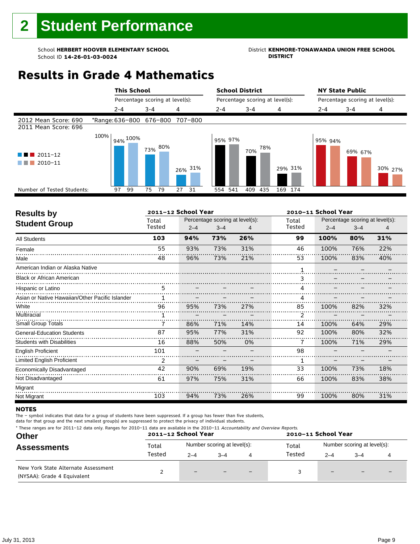### School **HERBERT HOOVER ELEMENTARY SCHOOL**<br>School ID 14-26-01-03-0024<br>DISTRICT DISTRICT

### **Results in Grade 4 Mathematics**



| <b>Results by</b>                               |        | 2011-12 School Year |                                 |     |                        | 2010-11 School Year |                                 |     |
|-------------------------------------------------|--------|---------------------|---------------------------------|-----|------------------------|---------------------|---------------------------------|-----|
| <b>Student Group</b>                            | Total  |                     | Percentage scoring at level(s): |     | Total                  |                     | Percentage scoring at level(s): |     |
|                                                 | Tested | $2 - 4$             | $3 - 4$                         | 4   | Tested                 | $2 - 4$             | $3 - 4$                         | 4   |
| <b>All Students</b>                             | 103    | 94%                 | 73%                             | 26% | 99                     | 100%                | 80%                             | 31% |
| Female                                          | 55     | 93%                 | 73%                             | 31% | 46                     | 100%                | 76%                             | 22% |
| Male                                            | 48     | 96%                 | 73%                             | 21% | 53                     | 100%                | 83%                             | 40% |
| American Indian or Alaska Native                |        |                     |                                 |     |                        |                     |                                 |     |
| <b>Black or African American</b>                |        |                     |                                 |     |                        |                     |                                 |     |
| Hispanic or Latino                              | 5      |                     |                                 |     | $\boldsymbol{\Lambda}$ |                     |                                 |     |
| Asian or Native Hawaiian/Other Pacific Islander |        |                     |                                 |     |                        |                     |                                 |     |
| White                                           | 96     | 95%                 | 73%                             | 27% | 85                     | 100%                | 82%                             | 32% |
| Multiracial                                     |        |                     |                                 |     | 2                      |                     |                                 |     |
| Small Group Totals                              |        | 86%                 | 71%                             | 14% | 14                     | 100%                | 64%                             | 29% |
| <b>General-Education Students</b>               | 87     | 95%                 | 77%                             | 31% | 92                     | 100%                | 80%                             | 32% |
| <b>Students with Disabilities</b>               | 16     | 88%                 | 50%                             | 0%  | 7                      | 100%                | 71%                             | 29% |
| English Proficient                              | 101    |                     |                                 |     | 98                     |                     |                                 |     |
| Limited English Proficient                      | 2      |                     |                                 |     |                        |                     |                                 |     |
| Economically Disadvantaged                      | 42     | 90%                 | 69%                             | 19% | 33                     | 100%                | 73%                             | 18% |
| Not Disadvantaged                               | 61     | 97%                 | 75%                             | 31% | 66                     | 100%                | 83%                             | 38% |
| Migrant                                         |        |                     |                                 |     |                        |                     |                                 |     |
| Not Migrant                                     | 103    | 94%                 | 73%                             | 26% | 99                     | 100%                | 80%                             | 31% |

#### **NOTES**

The – symbol indicates that data for a group of students have been suppressed. If a group has fewer than five students,

| * These ranges are for 2011–12 data only. Ranges for 2010–11 data are available in the 2010–11 Accountability and Overview Reports.<br><b>Other</b> |        | 2011-12 School Year |                             |                          | 2010-11 School Year |                             |      |  |  |
|-----------------------------------------------------------------------------------------------------------------------------------------------------|--------|---------------------|-----------------------------|--------------------------|---------------------|-----------------------------|------|--|--|
| <b>Assessments</b>                                                                                                                                  | Total  |                     | Number scoring at level(s): |                          | Total               | Number scoring at level(s): |      |  |  |
|                                                                                                                                                     | Tested | $2 - 4$             | $3 - 4$                     |                          | Tested              | $2 - 4$                     | $-4$ |  |  |
| New York State Alternate Assessment<br>(NYSAA): Grade 4 Equivalent                                                                                  |        |                     |                             | $\overline{\phantom{m}}$ |                     | $-$                         |      |  |  |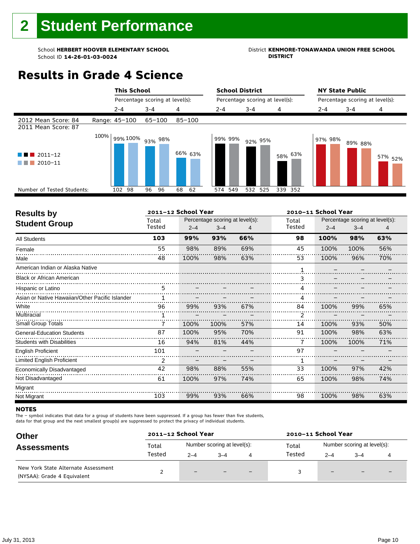## School **HERBERT HOOVER ELEMENTARY SCHOOL**<br>School ID 14-26-01-03-0024<br>DISTRICT DISTRICT

## **Results in Grade 4 Science**

|                                                  |      | <b>This School</b> |                                 |            |            | <b>School District</b>          |         |         | <b>NY State Public</b>          |                    |
|--------------------------------------------------|------|--------------------|---------------------------------|------------|------------|---------------------------------|---------|---------|---------------------------------|--------------------|
|                                                  |      |                    | Percentage scoring at level(s): |            |            | Percentage scoring at level(s): |         |         | Percentage scoring at level(s): |                    |
|                                                  |      | $2 - 4$            | $3 - 4$                         | 4          | $2 - 4$    | $3 - 4$                         | 4       | $2 - 4$ | $3 - 4$                         | 4                  |
| 2012 Mean Score: 84<br>2011 Mean Score: 87       |      | Range: 45-100      | $65 - 100$                      | $85 - 100$ |            |                                 |         |         |                                 |                    |
| $\blacksquare$ 2011-12<br>$\blacksquare$ 2010-11 | 100% |                    | 99% 100% 93% 98%                | 66% 63%    | 99% 99%    | 92% 95%                         | 58% 63% | 97% 98% | 89% 88%                         | 57% <sub>52%</sub> |
| Number of Tested Students:                       |      | 102 98             | 96<br>96                        | 68<br>62   | 549<br>574 | 532 525                         | 339 352 |         |                                 |                    |
|                                                  |      |                    |                                 |            |            |                                 |         |         |                                 |                    |

| <b>Results by</b><br><b>Student Group</b>       | Total  |         |         |                                 |        |         |                                 |     |  |
|-------------------------------------------------|--------|---------|---------|---------------------------------|--------|---------|---------------------------------|-----|--|
|                                                 |        |         |         | Percentage scoring at level(s): | Total  |         | Percentage scoring at level(s): |     |  |
|                                                 | Tested | $2 - 4$ | $3 - 4$ |                                 | Tested | $2 - 4$ | $3 - 4$                         | 4   |  |
| <b>All Students</b>                             | 103    | 99%     | 93%     | 66%                             | 98     | 100%    | 98%                             | 63% |  |
| Female                                          | 55     | 98%     | 89%     | 69%                             | 45     | 100%    | 100%                            | 56% |  |
| Male                                            | 48     | 100%    | 98%     | 63%                             | 53     | 100%    | 96%                             | 70% |  |
| American Indian or Alaska Native                |        |         |         |                                 |        |         |                                 |     |  |
| <b>Black or African American</b>                |        |         |         |                                 | 3      |         |                                 |     |  |
| Hispanic or Latino                              | 5      |         |         |                                 | 4      |         |                                 |     |  |
| Asian or Native Hawaiian/Other Pacific Islander | 1      |         |         |                                 | 4      |         |                                 |     |  |
| White                                           | 96     | 99%     | 93%     | 67%                             | 84     | 100%    | 99%                             | 65% |  |
| Multiracial                                     |        |         |         |                                 | 2      |         |                                 |     |  |
| <b>Small Group Totals</b>                       | 7      | 100%    | 100%    | 57%                             | 14     | 100%    | 93%                             | 50% |  |
| <b>General-Education Students</b>               | 87     | 100%    | 95%     | 70%                             | 91     | 100%    | 98%                             | 63% |  |
| <b>Students with Disabilities</b>               | 16     | 94%     | 81%     | 44%                             |        | 100%    | 100%                            | 71% |  |
| <b>English Proficient</b>                       | 101    |         |         |                                 | 97     |         |                                 |     |  |
| <b>Limited English Proficient</b>               | 2      |         |         |                                 | 1      |         |                                 |     |  |
| Economically Disadvantaged                      | 42     | 98%     | 88%     | 55%                             | 33     | 100%    | 97%                             | 42% |  |
| Not Disadvantaged                               | 61     | 100%    | 97%     | 74%                             | 65     | 100%    | 98%                             | 74% |  |
| Migrant                                         |        |         |         |                                 |        |         |                                 |     |  |
| Not Migrant                                     | 103    | 99%     | 93%     | 66%                             | 98     | 100%    | 98%                             | 63% |  |

#### **NOTES**

The – symbol indicates that data for a group of students have been suppressed. If a group has fewer than five students,

| <b>Other</b>                                                       | 2011-12 School Year |         |                             |     | 2010-11 School Year |                          |                             |                          |
|--------------------------------------------------------------------|---------------------|---------|-----------------------------|-----|---------------------|--------------------------|-----------------------------|--------------------------|
| <b>Assessments</b>                                                 | Total               |         | Number scoring at level(s): |     | Total               |                          | Number scoring at level(s): |                          |
|                                                                    | Tested              | $2 - 4$ | $-4$                        | 4   | Tested              | $2 - 4$                  | $-4$                        |                          |
| New York State Alternate Assessment<br>(NYSAA): Grade 4 Equivalent |                     | $-$     |                             | $-$ |                     | $\overline{\phantom{0}}$ | $\overline{\phantom{0}}$    | $\overline{\phantom{0}}$ |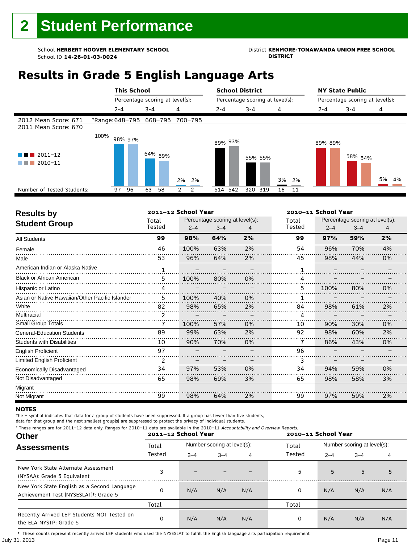### School **HERBERT HOOVER ELEMENTARY SCHOOL**<br>School ID 14-26-01-03-0024<br>DISTRICT DISTRICT

### **Results in Grade 5 English Language Arts**

|                                              |                                 |         | <b>This School</b> |         |                                 |                |    |         |         | <b>School District</b> |                                 |    |    |         | <b>NY State Public</b>          |    |    |
|----------------------------------------------|---------------------------------|---------|--------------------|---------|---------------------------------|----------------|----|---------|---------|------------------------|---------------------------------|----|----|---------|---------------------------------|----|----|
|                                              |                                 |         |                    |         | Percentage scoring at level(s): |                |    |         |         |                        | Percentage scoring at level(s): |    |    |         | Percentage scoring at level(s): |    |    |
|                                              |                                 | $2 - 4$ |                    | $3 - 4$ |                                 | 4              |    | $2 - 4$ |         | $3 - 4$                |                                 | 4  |    | $2 - 4$ | $3 - 4$                         | 4  |    |
| 2012 Mean Score: 671<br>2011 Mean Score: 670 | *Range: 648-795 668-795 700-795 |         |                    |         |                                 |                |    |         |         |                        |                                 |    |    |         |                                 |    |    |
| $2011 - 12$<br>2010-11                       | 100%                            | 98% 97% |                    |         | 64% <sub>59%</sub>              | 2%             | 2% |         | 89% 93% |                        | 55% 55%                         | 3% | 2% | 89% 89% | 58% <sub>54%</sub>              | 5% | 4% |
| Number of Tested Students:                   |                                 | 97      | 96                 | 63      | 58                              | $\overline{2}$ | 2  |         | 514 542 | 320 319                |                                 | 16 | 11 |         |                                 |    |    |
|                                              |                                 |         |                    |         |                                 |                |    |         |         |                        |                                 |    |    |         |                                 |    |    |

| <b>Results by</b>                               |              | 2011-12 School Year |                                 |    |        | 2010-11 School Year |                                 |    |
|-------------------------------------------------|--------------|---------------------|---------------------------------|----|--------|---------------------|---------------------------------|----|
| <b>Student Group</b>                            | Total        |                     | Percentage scoring at level(s): |    | Total  |                     | Percentage scoring at level(s): |    |
|                                                 | Tested       | $2 - 4$             | $3 - 4$                         | 4  | Tested | $2 - 4$             | $3 - 4$                         | 4  |
| <b>All Students</b>                             | 99           | 98%                 | 64%                             | 2% | 99     | 97%                 | 59%                             | 2% |
| Female                                          | 46           | 100%                | 63%                             | 2% | 54     | 96%                 | 70%                             | 4% |
| Male                                            | 53           | 96%                 | 64%                             | 2% | 45     | 98%                 | 44%                             | 0% |
| American Indian or Alaska Native                | $\mathbf{1}$ |                     |                                 |    |        |                     |                                 |    |
| <b>Black or African American</b>                | 5            | 100%                | 80%                             | 0% | 4      |                     |                                 |    |
| Hispanic or Latino                              | 4            |                     |                                 |    | 5      | 100%                | 80%                             | 0% |
| Asian or Native Hawaiian/Other Pacific Islander | 5            | 100%                | 40%                             | 0% |        |                     |                                 |    |
| White                                           | 82           | 98%                 | 65%                             | 2% | 84     | 98%                 | 61%                             | 2% |
| Multiracial                                     | 2            |                     |                                 |    | Δ      |                     |                                 |    |
| Small Group Totals                              | 7            | 100%                | 57%                             | 0% | 10     | 90%                 | 30%                             | 0% |
| <b>General-Education Students</b>               | 89           | 99%                 | 63%                             | 2% | 92     | 98%                 | 60%                             | 2% |
| <b>Students with Disabilities</b>               | 10           | 90%                 | 70%                             | 0% |        | 86%                 | 43%                             | 0% |
| <b>English Proficient</b>                       | 97           |                     |                                 |    | 96     |                     |                                 |    |
| Limited English Proficient                      | 2            |                     |                                 |    | 3      |                     |                                 |    |
| Economically Disadvantaged                      | 34           | 97%                 | 53%                             | 0% | 34     | 94%                 | 59%                             | 0% |
| Not Disadvantaged                               | 65           | 98%                 | 69%                             | 3% | 65     | 98%                 | 58%                             | 3% |
| Migrant                                         |              |                     |                                 |    |        |                     |                                 |    |
| Not Migrant                                     | 99           | 98%                 | 64%                             | 2% | 99     | 97%                 | 59%                             | 2% |

#### **NOTES**

The – symbol indicates that data for a group of students have been suppressed. If a group has fewer than five students,

data for that group and the next smallest group(s) are suppressed to protect the privacy of individual students. \* These ranges are for 2011–12 data only. Ranges for 2010–11 data are available in the 2010–11 Accountability and Overview Reports.

| THESE TRINGES ATE TOT ZUIT-IZ GATA UNIV. RANGES TOT ZUIU-II GATA ATE AVAILADLE IN THE ZUIU-II ACCOUNTADINTY AND OVERVIEW REPORTS.<br><b>Other</b> |        | 2011-12 School Year |                             |     | 2010-11 School Year |         |                             |     |
|---------------------------------------------------------------------------------------------------------------------------------------------------|--------|---------------------|-----------------------------|-----|---------------------|---------|-----------------------------|-----|
| <b>Assessments</b>                                                                                                                                | Total  |                     | Number scoring at level(s): |     | Total               |         | Number scoring at level(s): |     |
|                                                                                                                                                   | Tested | $2 - 4$             | $3 - 4$                     | 4   | Tested              | $2 - 4$ | $3 - 4$                     | 4   |
| New York State Alternate Assessment<br>(NYSAA): Grade 5 Equivalent                                                                                |        |                     |                             |     | 5                   | 5       | 5                           | 5   |
| New York State English as a Second Language<br>Achievement Test (NYSESLAT) <sup>+</sup> : Grade 5                                                 |        | N/A                 | N/A                         | N/A | 0                   | N/A     | N/A                         | N/A |
|                                                                                                                                                   | Total  |                     |                             |     | Total               |         |                             |     |
| Recently Arrived LEP Students NOT Tested on<br>the ELA NYSTP: Grade 5                                                                             |        | N/A                 | N/A                         | N/A | 0                   | N/A     | N/A                         | N/A |

July 31, 2013 Page 11 † These counts represent recently arrived LEP students who used the NYSESLAT to fulfill the English language arts participation requirement.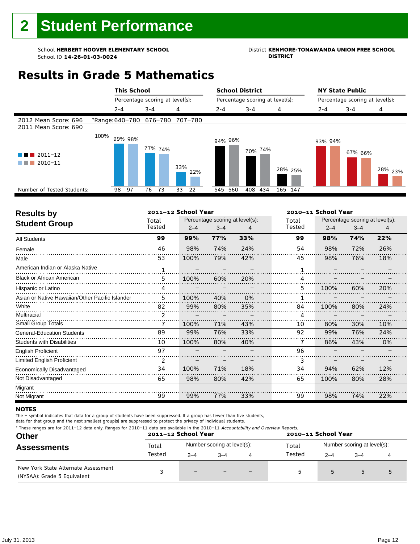### School **HERBERT HOOVER ELEMENTARY SCHOOL**<br>School ID 14-26-01-03-0024<br>DISTRICT DISTRICT

### **Results in Grade 5 Mathematics**



| <b>Results by</b>                               |        | 2011-12 School Year |                                 |     |        | 2010-11 School Year |                                 |     |
|-------------------------------------------------|--------|---------------------|---------------------------------|-----|--------|---------------------|---------------------------------|-----|
| <b>Student Group</b>                            | Total  |                     | Percentage scoring at level(s): |     | Total  |                     | Percentage scoring at level(s): |     |
|                                                 | Tested | $2 - 4$             | $3 - 4$                         | 4   | Tested | $2 - 4$             | $3 - 4$                         | 4   |
| <b>All Students</b>                             | 99     | 99%                 | 77%                             | 33% | 99     | 98%                 | 74%                             | 22% |
| Female                                          | 46     | 98%                 | 74%                             | 24% | 54     | 98%                 | 72%                             | 26% |
| Male                                            | 53     | 100%                | 79%                             | 42% | 45     | 98%                 | 76%                             | 18% |
| American Indian or Alaska Native                |        |                     |                                 |     |        |                     |                                 |     |
| <b>Black or African American</b>                | 5      | 100%                | 60%                             | 20% | 4      |                     |                                 |     |
| Hispanic or Latino                              | 4      |                     |                                 |     | 5      | 100%                | 60%                             | 20% |
| Asian or Native Hawaiian/Other Pacific Islander | 5      | 100%                | 40%                             | 0%  |        |                     |                                 |     |
| White                                           | 82     | 99%                 | 80%                             | 35% | 84     | 100%                | 80%                             | 24% |
| Multiracial                                     | 2      |                     |                                 |     | 4      |                     |                                 |     |
| Small Group Totals                              | 7      | 100%                | 71%                             | 43% | 10     | 80%                 | 30%                             | 10% |
| <b>General-Education Students</b>               | 89     | 99%                 | 76%                             | 33% | 92     | 99%                 | 76%                             | 24% |
| <b>Students with Disabilities</b>               | 10     | 100%                | 80%                             | 40% | 7      | 86%                 | 43%                             | 0%  |
| English Proficient                              | 97     |                     |                                 |     | 96     |                     |                                 |     |
| Limited English Proficient                      | 2      |                     |                                 |     | 3      |                     |                                 |     |
| Economically Disadvantaged                      | 34     | 100%                | 71%                             | 18% | 34     | 94%                 | 62%                             | 12% |
| Not Disadvantaged                               | 65     | 98%                 | 80%                             | 42% | 65     | 100%                | 80%                             | 28% |
| Migrant                                         |        |                     |                                 |     |        |                     |                                 |     |
| Not Migrant                                     | 99     | 99%                 | 77%                             | 33% | 99     | 98%                 | 74%                             | 22% |

#### **NOTES**

The – symbol indicates that data for a group of students have been suppressed. If a group has fewer than five students,

data for that group and the next smallest group(s) are suppressed to protect the privacy of individual students.

\* These ranges are for 2011–12 data only. Ranges for 2010–11 data are available in the 2010–11 Accountability and Overview Reports.

| <b>Other</b>                                                       |        | 2011-12 School Year |                             | 2010-11 School Year                  |         |         |  |  |
|--------------------------------------------------------------------|--------|---------------------|-----------------------------|--------------------------------------|---------|---------|--|--|
| <b>Assessments</b>                                                 | Total  |                     | Number scoring at level(s): | Number scoring at level(s):<br>Total |         |         |  |  |
|                                                                    | Tested | $2 - 4$             | $3 - 4$                     | Tested                               | $2 - 4$ | $3 - 4$ |  |  |
| New York State Alternate Assessment<br>(NYSAA): Grade 5 Equivalent |        | -                   |                             | 5                                    |         |         |  |  |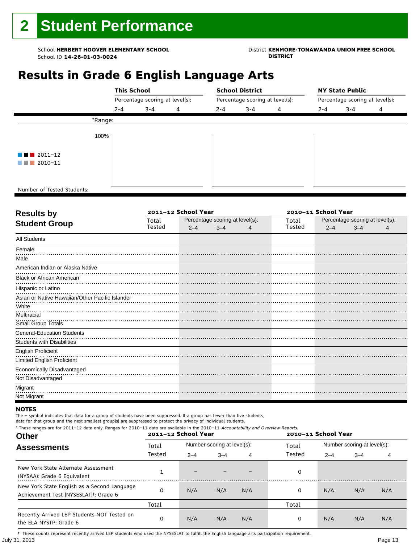### School **HERBERT HOOVER ELEMENTARY SCHOOL**<br>School ID 14-26-01-03-0024<br>DISTRICT DISTRICT

### **Results in Grade 6 English Language Arts**

|                                       | <b>This School</b> |                                 |   |         | <b>School District</b> |                                 |                                 | <b>NY State Public</b> |   |  |
|---------------------------------------|--------------------|---------------------------------|---|---------|------------------------|---------------------------------|---------------------------------|------------------------|---|--|
|                                       |                    | Percentage scoring at level(s): |   |         |                        | Percentage scoring at level(s): | Percentage scoring at level(s): |                        |   |  |
|                                       | $2 - 4$            | $3 - 4$                         | 4 | $2 - 4$ | $3 - 4$                | 4                               | $2 - 4$                         | $3 - 4$                | 4 |  |
| *Range:                               |                    |                                 |   |         |                        |                                 |                                 |                        |   |  |
| 100%                                  |                    |                                 |   |         |                        |                                 |                                 |                        |   |  |
| $\blacksquare$ $\blacksquare$ 2011-12 |                    |                                 |   |         |                        |                                 |                                 |                        |   |  |
| 2010-11<br>a shekara                  |                    |                                 |   |         |                        |                                 |                                 |                        |   |  |
|                                       |                    |                                 |   |         |                        |                                 |                                 |                        |   |  |
| Number of Tested Students:            |                    |                                 |   |         |                        |                                 |                                 |                        |   |  |

٦

| Total  |         |         |                     | Total                           | Percentage scoring at level(s): |         |                     |  |
|--------|---------|---------|---------------------|---------------------------------|---------------------------------|---------|---------------------|--|
| Tested | $2 - 4$ | $3 - 4$ | 4                   | Tested                          | $2 - 4$                         | $3 - 4$ | 4                   |  |
|        |         |         |                     |                                 |                                 |         |                     |  |
|        |         |         |                     |                                 |                                 |         |                     |  |
|        |         |         |                     |                                 |                                 |         |                     |  |
|        |         |         |                     |                                 |                                 |         |                     |  |
|        |         |         |                     |                                 |                                 |         |                     |  |
|        |         |         |                     |                                 |                                 |         |                     |  |
|        |         |         |                     |                                 |                                 |         |                     |  |
|        |         |         |                     |                                 |                                 |         |                     |  |
|        |         |         |                     |                                 |                                 |         |                     |  |
|        |         |         |                     |                                 |                                 |         |                     |  |
|        |         |         |                     |                                 |                                 |         |                     |  |
|        |         |         |                     |                                 |                                 |         |                     |  |
|        |         |         |                     |                                 |                                 |         |                     |  |
|        |         |         |                     |                                 |                                 |         |                     |  |
|        |         |         |                     |                                 |                                 |         |                     |  |
|        |         |         |                     |                                 |                                 |         |                     |  |
|        |         |         |                     |                                 |                                 |         |                     |  |
|        |         |         |                     |                                 |                                 |         |                     |  |
|        |         |         | 2011-12 School Year | Percentage scoring at level(s): |                                 |         | 2010-11 School Year |  |

#### **NOTES**

The – symbol indicates that data for a group of students have been suppressed. If a group has fewer than five students, data for that group and the next smallest group(s) are suppressed to protect the privacy of individual students.

\* These ranges are for 2011–12 data only. Ranges for 2010–11 data are available in the 2010–11 Accountability and Overview Reports.

| <b>Other</b>                                                                                      | 2011-12 School Year |         |                             |     | 2010-11 School Year |                             |         |     |  |
|---------------------------------------------------------------------------------------------------|---------------------|---------|-----------------------------|-----|---------------------|-----------------------------|---------|-----|--|
| <b>Assessments</b>                                                                                | Total               |         | Number scoring at level(s): |     | Total               | Number scoring at level(s): |         |     |  |
|                                                                                                   | Tested              | $2 - 4$ | $3 - 4$<br>4                |     | Tested              | $2 - 4$                     | $3 - 4$ | 4   |  |
| New York State Alternate Assessment<br>(NYSAA): Grade 6 Equivalent                                |                     |         |                             |     | 0                   |                             |         |     |  |
| New York State English as a Second Language<br>Achievement Test (NYSESLAT) <sup>†</sup> : Grade 6 | 0                   | N/A     | N/A                         | N/A | 0                   | N/A                         | N/A     | N/A |  |
|                                                                                                   | Total               |         |                             |     | Total               |                             |         |     |  |
| Recently Arrived LEP Students NOT Tested on<br>the ELA NYSTP: Grade 6                             | 0                   | N/A     | N/A                         | N/A | 0                   | N/A                         | N/A     | N/A |  |

July 31, 2013 Page 13 † These counts represent recently arrived LEP students who used the NYSESLAT to fulfill the English language arts participation requirement.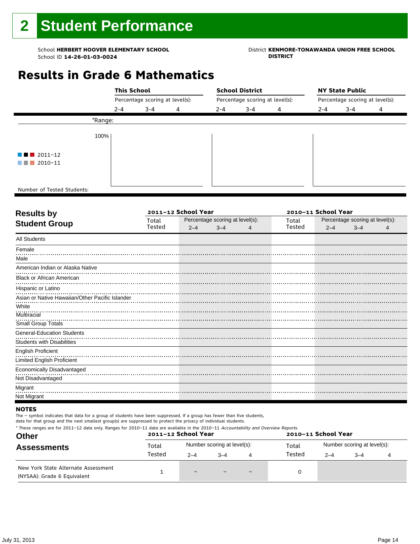## School **HERBERT HOOVER ELEMENTARY SCHOOL**<br>School ID 14-26-01-03-0024<br>DISTRICT DISTRICT

### **Results in Grade 6 Mathematics**

|                                       |         | <b>This School</b><br>Percentage scoring at level(s): |   |         | <b>School District</b>          |   | <b>NY State Public</b><br>Percentage scoring at level(s): |         |   |  |
|---------------------------------------|---------|-------------------------------------------------------|---|---------|---------------------------------|---|-----------------------------------------------------------|---------|---|--|
|                                       |         |                                                       |   |         | Percentage scoring at level(s): |   |                                                           |         |   |  |
|                                       | $2 - 4$ | $3 - 4$                                               | 4 | $2 - 4$ | $3 - 4$                         | 4 | $2 - 4$                                                   | $3 - 4$ | 4 |  |
|                                       | *Range: |                                                       |   |         |                                 |   |                                                           |         |   |  |
|                                       | 100%    |                                                       |   |         |                                 |   |                                                           |         |   |  |
| $\blacksquare$ $\blacksquare$ 2011-12 |         |                                                       |   |         |                                 |   |                                                           |         |   |  |
| $\blacksquare$ 2010-11                |         |                                                       |   |         |                                 |   |                                                           |         |   |  |
|                                       |         |                                                       |   |         |                                 |   |                                                           |         |   |  |
| Number of Tested Students:            |         |                                                       |   |         |                                 |   |                                                           |         |   |  |

٦

| <b>Results by</b>                               |        | 2011-12 School Year |                                 | 2010-11 School Year |        |                                 |         |   |  |
|-------------------------------------------------|--------|---------------------|---------------------------------|---------------------|--------|---------------------------------|---------|---|--|
| <b>Student Group</b>                            | Total  |                     | Percentage scoring at level(s): |                     | Total  | Percentage scoring at level(s): |         |   |  |
|                                                 | Tested | $2 - 4$             | $3 - 4$                         | 4                   | Tested | $2 - 4$                         | $3 - 4$ | 4 |  |
| <b>All Students</b>                             |        |                     |                                 |                     |        |                                 |         |   |  |
| Female                                          |        |                     |                                 |                     |        |                                 |         |   |  |
| Male                                            |        |                     |                                 |                     |        |                                 |         |   |  |
| American Indian or Alaska Native                |        |                     |                                 |                     |        |                                 |         |   |  |
| <b>Black or African American</b>                |        |                     |                                 |                     |        |                                 |         |   |  |
| Hispanic or Latino                              |        |                     |                                 |                     |        |                                 |         |   |  |
| Asian or Native Hawaiian/Other Pacific Islander |        |                     |                                 |                     |        |                                 |         |   |  |
| White                                           |        |                     |                                 |                     |        |                                 |         |   |  |
| Multiracial                                     |        |                     |                                 |                     |        |                                 |         |   |  |
| Small Group Totals                              |        |                     |                                 |                     |        |                                 |         |   |  |
| <b>General-Education Students</b>               |        |                     |                                 |                     |        |                                 |         |   |  |
| Students with Disabilities                      |        |                     |                                 |                     |        |                                 |         |   |  |
| <b>English Proficient</b>                       |        |                     |                                 |                     |        |                                 |         |   |  |
| Limited English Proficient                      |        |                     |                                 |                     |        |                                 |         |   |  |
| Economically Disadvantaged                      |        |                     |                                 |                     |        |                                 |         |   |  |
| Not Disadvantaged                               |        |                     |                                 |                     |        |                                 |         |   |  |
| Migrant                                         |        |                     |                                 |                     |        |                                 |         |   |  |
| Not Migrant                                     |        |                     |                                 |                     |        |                                 |         |   |  |

#### **NOTES**

The – symbol indicates that data for a group of students have been suppressed. If a group has fewer than five students,

| * These ranges are for 2011-12 data only. Ranges for 2010-11 data are available in the 2010-11 Accountability and Overview Reports.<br><b>Other</b> |        | 2011-12 School Year |                             |                          | 2010-11 School Year |                             |         |  |  |
|-----------------------------------------------------------------------------------------------------------------------------------------------------|--------|---------------------|-----------------------------|--------------------------|---------------------|-----------------------------|---------|--|--|
| <b>Assessments</b>                                                                                                                                  | Total  |                     | Number scoring at level(s): |                          | Total               | Number scoring at level(s): |         |  |  |
|                                                                                                                                                     | Tested | $2 - 4$             | $-4$                        | 4                        | Tested              | $2 - 4$                     | $3 - 4$ |  |  |
| New York State Alternate Assessment<br>(NYSAA): Grade 6 Equivalent                                                                                  |        | $-$                 |                             | $\overline{\phantom{0}}$ |                     |                             |         |  |  |